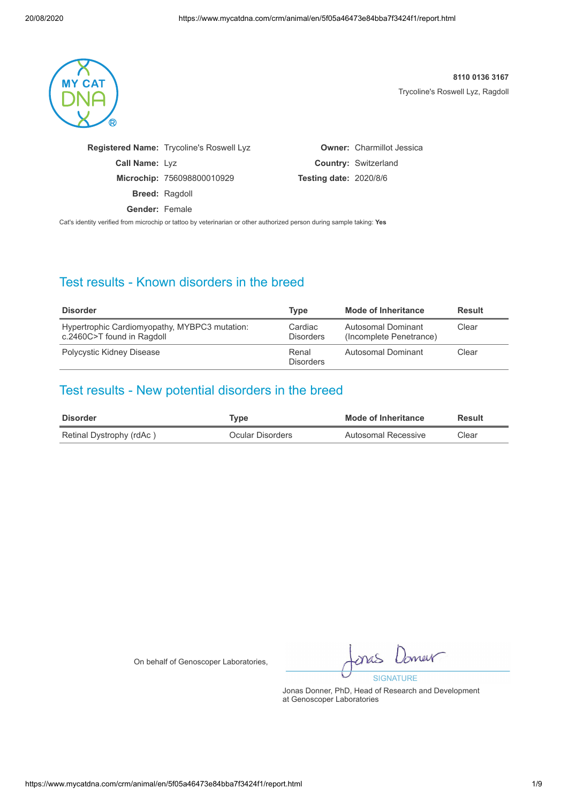

**Registered Name:** Trycoline's Roswell Lyz **Call Name:** Lyz **Microchip:** 756098800010929 **Breed:** Ragdoll **Gender:** Female

**Owner:** Charmillot Jessica **Country:** Switzerland **Testing date:** 2020/8/6

Cat's identity verified from microchip or tattoo by veterinarian or other authorized person during sample taking: **Yes**

## Test results - Known disorders in the breed

| <b>Disorder</b>                                                             | <b>Type</b>                 | Mode of Inheritance                           | <b>Result</b> |
|-----------------------------------------------------------------------------|-----------------------------|-----------------------------------------------|---------------|
| Hypertrophic Cardiomyopathy, MYBPC3 mutation:<br>c.2460C>T found in Ragdoll | Cardiac<br><b>Disorders</b> | Autosomal Dominant<br>(Incomplete Penetrance) | Clear         |
| Polycystic Kidney Disease                                                   | Renal<br><b>Disorders</b>   | Autosomal Dominant                            | Clear         |

### Test results - New potential disorders in the breed

| <b>Disorder</b>          | Tvpe             | Mode of Inheritance | <b>Result</b> |
|--------------------------|------------------|---------------------|---------------|
| Retinal Dystrophy (rdAc) | Ocular Disorders | Autosomal Recessive | Clear         |

On behalf of Genoscoper Laboratories,

onas Domar

**SIGNATURE**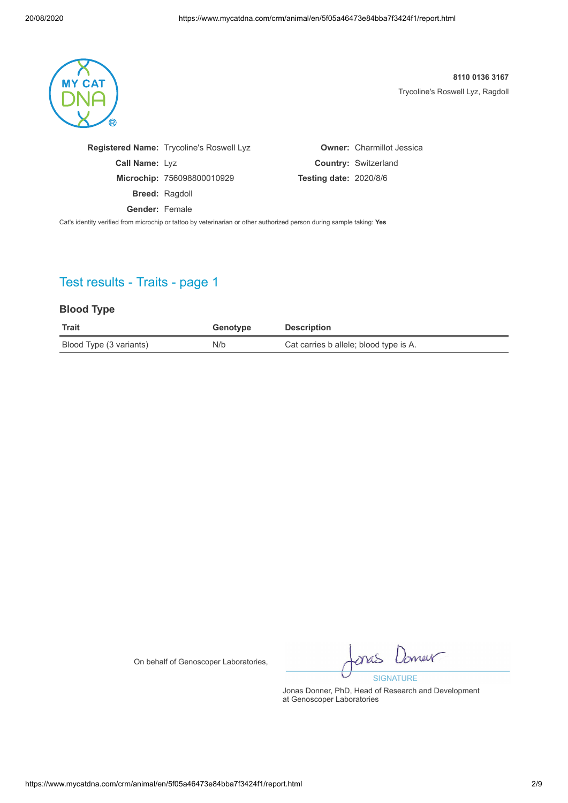

**Registered Name:** Trycoline's Roswell Lyz **Call Name:** Lyz **Microchip:** 756098800010929 **Breed:** Ragdoll **Gender:** Female

**Owner:** Charmillot Jessica **Country:** Switzerland **Testing date:** 2020/8/6

Cat's identity verified from microchip or tattoo by veterinarian or other authorized person during sample taking: **Yes**

# Test results - Traits - page 1

#### **Blood Type**

| <b>Trait</b>            | Genotype | <b>Description</b>                     |
|-------------------------|----------|----------------------------------------|
| Blood Type (3 variants) | N/b      | Cat carries b allele; blood type is A. |

On behalf of Genoscoper Laboratories,

onas Domer

SIGNATURE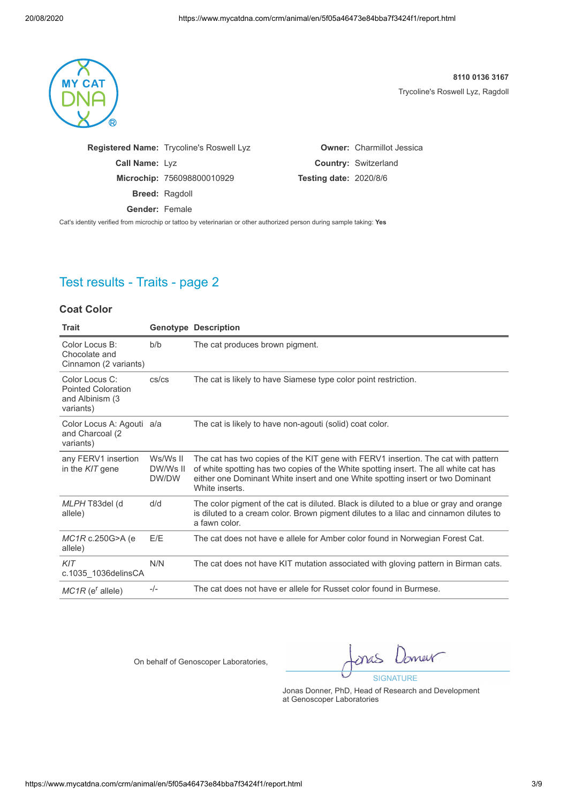**Owner:** Charmillot Jessica

**Country:** Switzerland

**Testing date:** 2020/8/6



**8110 0136 3167** Trycoline's Roswell Lyz, Ragdoll

**Registered Name:** Trycoline's Roswell Lyz **Call Name:** Lyz **Microchip:** 756098800010929 **Breed:** Ragdoll

**Gender:** Female

Cat's identity verified from microchip or tattoo by veterinarian or other authorized person during sample taking: **Yes**

# Test results - Traits - page 2

#### **Coat Color**

| <b>Trait</b>                                                                 |                               | <b>Genotype Description</b>                                                                                                                                                                                                                                                   |
|------------------------------------------------------------------------------|-------------------------------|-------------------------------------------------------------------------------------------------------------------------------------------------------------------------------------------------------------------------------------------------------------------------------|
| Color Locus B:<br>Chocolate and<br>Cinnamon (2 variants)                     | b/b                           | The cat produces brown pigment.                                                                                                                                                                                                                                               |
| Color Locus C:<br><b>Pointed Coloration</b><br>and Albinism (3)<br>variants) | cs/cs                         | The cat is likely to have Siamese type color point restriction.                                                                                                                                                                                                               |
| Color Locus A: Agouti a/a<br>and Charcoal (2)<br>variants)                   |                               | The cat is likely to have non-agouti (solid) coat color.                                                                                                                                                                                                                      |
| any FERV1 insertion<br>in the KIT gene                                       | Ws/Ws II<br>DW/Ws II<br>DW/DW | The cat has two copies of the KIT gene with FERV1 insertion. The cat with pattern<br>of white spotting has two copies of the White spotting insert. The all white cat has<br>either one Dominant White insert and one White spotting insert or two Dominant<br>White inserts. |
| MLPH T83del (d<br>allele)                                                    | d/d                           | The color pigment of the cat is diluted. Black is diluted to a blue or gray and orange<br>is diluted to a cream color. Brown pigment dilutes to a lilac and cinnamon dilutes to<br>a fawn color.                                                                              |
| $MC1R$ c.250G>A (e)<br>allele)                                               | E/E                           | The cat does not have e allele for Amber color found in Norwegian Forest Cat.                                                                                                                                                                                                 |
| KIT<br>c.1035 1036 delins CA                                                 | N/N                           | The cat does not have KIT mutation associated with gloving pattern in Birman cats.                                                                                                                                                                                            |
| $MC1R$ (e <sup>r</sup> allele)                                               | $-/-$                         | The cat does not have er allele for Russet color found in Burmese.                                                                                                                                                                                                            |

On behalf of Genoscoper Laboratories,

onas Domer

SIGNATURE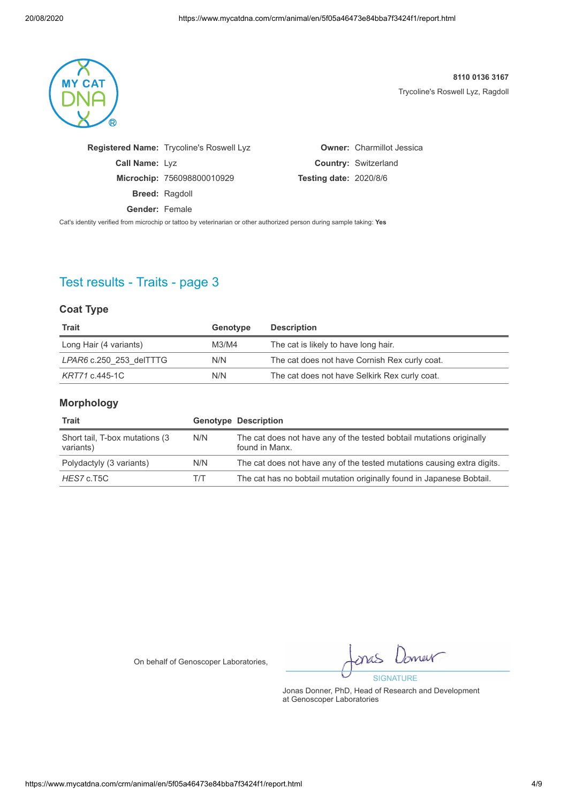

**Registered Name:** Trycoline's Roswell Lyz **Call Name:** Lyz **Microchip:** 756098800010929 **Breed:** Ragdoll **Gender:** Female

**Owner:** Charmillot Jessica **Country:** Switzerland **Testing date:** 2020/8/6

Cat's identity verified from microchip or tattoo by veterinarian or other authorized person during sample taking: **Yes**

# Test results - Traits - page 3

#### **Coat Type**

| <b>Trait</b>            | Genotype | <b>Description</b>                            |
|-------------------------|----------|-----------------------------------------------|
| Long Hair (4 variants)  | M3/M4    | The cat is likely to have long hair.          |
| LPAR6 c.250 253 delTTTG | N/N      | The cat does not have Cornish Rex curly coat. |
| KRT71 c.445-1C          | N/N      | The cat does not have Selkirk Rex curly coat. |

#### **Morphology**

| <b>Trait</b>                                 |               | <b>Genotype Description</b>                                                            |
|----------------------------------------------|---------------|----------------------------------------------------------------------------------------|
| Short tail, T-box mutations (3)<br>variants) | N/N           | The cat does not have any of the tested bobtail mutations originally<br>found in Manx. |
| Polydactyly (3 variants)                     | N/N           | The cat does not have any of the tested mutations causing extra digits.                |
| HES7 c.T5C                                   | $\frac{1}{1}$ | The cat has no bobtail mutation originally found in Japanese Bobtail.                  |

On behalf of Genoscoper Laboratories,

onas Domer SIGNATURE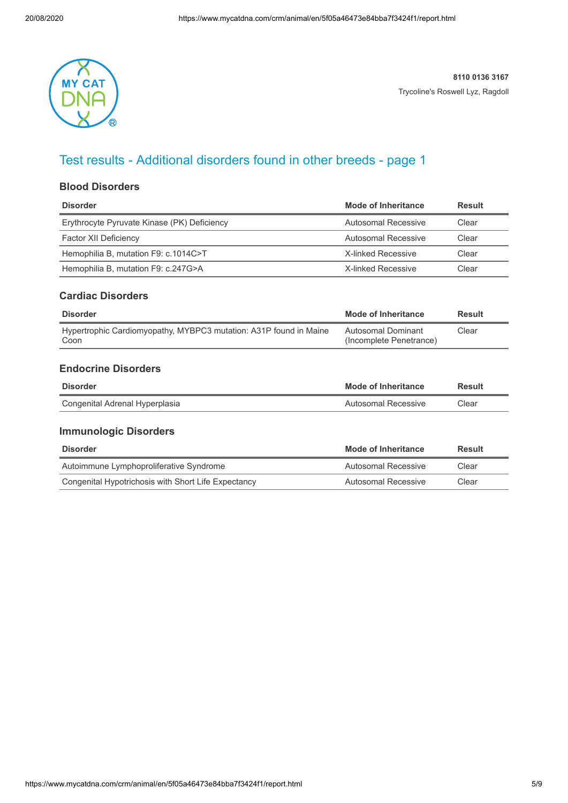

# Test results - Additional disorders found in other breeds - page 1

### **Blood Disorders**

| <b>Disorder</b>                             | Mode of Inheritance | Result |
|---------------------------------------------|---------------------|--------|
| Erythrocyte Pyruvate Kinase (PK) Deficiency | Autosomal Recessive | Clear  |
| <b>Factor XII Deficiency</b>                | Autosomal Recessive | Clear  |
| Hemophilia B, mutation F9: c.1014C>T        | X-linked Recessive  | Clear  |
| Hemophilia B, mutation F9: c.247G>A         | X-linked Recessive  | Clear  |

#### **Cardiac Disorders**

| <b>Disorder</b>                                                           | <b>Mode of Inheritance</b>                    | <b>Result</b> |
|---------------------------------------------------------------------------|-----------------------------------------------|---------------|
| Hypertrophic Cardiomyopathy, MYBPC3 mutation: A31P found in Maine<br>Coon | Autosomal Dominant<br>(Incomplete Penetrance) | Clear         |

#### **Endocrine Disorders**

| <b>Disorder</b>                | Mode of Inheritance | Result |
|--------------------------------|---------------------|--------|
| Congenital Adrenal Hyperplasia | Autosomal Recessive | Clear  |

### **Immunologic Disorders**

| <b>Disorder</b>                                     | Mode of Inheritance | Result |
|-----------------------------------------------------|---------------------|--------|
| Autoimmune Lymphoproliferative Syndrome             | Autosomal Recessive | Clear  |
| Congenital Hypotrichosis with Short Life Expectancy | Autosomal Recessive | Clear  |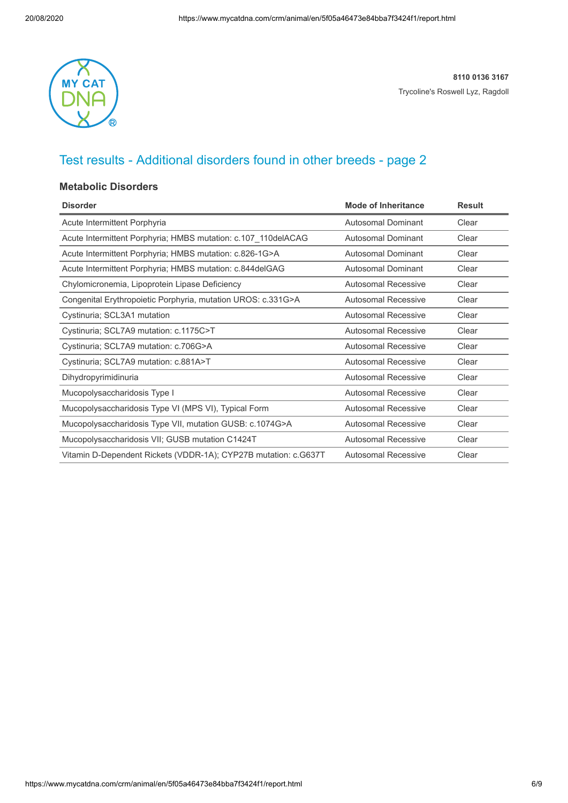

# Test results - Additional disorders found in other breeds - page 2

### **Metabolic Disorders**

| <b>Disorder</b>                                                 | <b>Mode of Inheritance</b> | <b>Result</b> |
|-----------------------------------------------------------------|----------------------------|---------------|
| Acute Intermittent Porphyria                                    | <b>Autosomal Dominant</b>  | Clear         |
| Acute Intermittent Porphyria; HMBS mutation: c.107_110delACAG   | Autosomal Dominant         | Clear         |
| Acute Intermittent Porphyria; HMBS mutation: c.826-1G>A         | <b>Autosomal Dominant</b>  | Clear         |
| Acute Intermittent Porphyria; HMBS mutation: c.844delGAG        | <b>Autosomal Dominant</b>  | Clear         |
| Chylomicronemia, Lipoprotein Lipase Deficiency                  | Autosomal Recessive        | Clear         |
| Congenital Erythropoietic Porphyria, mutation UROS: c.331G>A    | Autosomal Recessive        | Clear         |
| Cystinuria; SCL3A1 mutation                                     | Autosomal Recessive        | Clear         |
| Cystinuria; SCL7A9 mutation: c.1175C>T                          | Autosomal Recessive        | Clear         |
| Cystinuria; SCL7A9 mutation: c.706G>A                           | Autosomal Recessive        | Clear         |
| Cystinuria; SCL7A9 mutation: c.881A>T                           | <b>Autosomal Recessive</b> | Clear         |
| Dihydropyrimidinuria                                            | <b>Autosomal Recessive</b> | Clear         |
| Mucopolysaccharidosis Type I                                    | <b>Autosomal Recessive</b> | Clear         |
| Mucopolysaccharidosis Type VI (MPS VI), Typical Form            | Autosomal Recessive        | Clear         |
| Mucopolysaccharidosis Type VII, mutation GUSB: c.1074G>A        | Autosomal Recessive        | Clear         |
| Mucopolysaccharidosis VII; GUSB mutation C1424T                 | <b>Autosomal Recessive</b> | Clear         |
| Vitamin D-Dependent Rickets (VDDR-1A); CYP27B mutation: c.G637T | <b>Autosomal Recessive</b> | Clear         |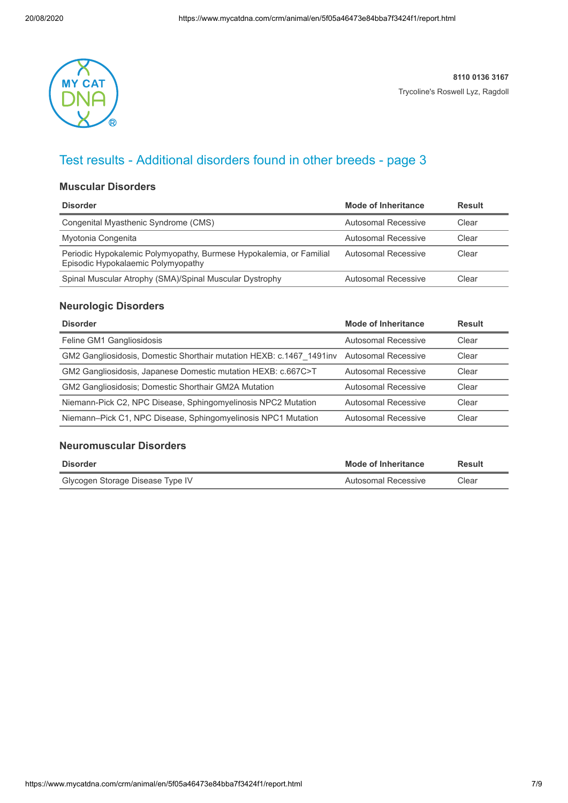

# Test results - Additional disorders found in other breeds - page 3

### **Muscular Disorders**

| <b>Disorder</b>                                                                                           | Mode of Inheritance | <b>Result</b> |
|-----------------------------------------------------------------------------------------------------------|---------------------|---------------|
| Congenital Myasthenic Syndrome (CMS)                                                                      | Autosomal Recessive | Clear         |
| Myotonia Congenita                                                                                        | Autosomal Recessive | Clear         |
| Periodic Hypokalemic Polymyopathy, Burmese Hypokalemia, or Familial<br>Episodic Hypokalaemic Polymyopathy | Autosomal Recessive | Clear         |
| Spinal Muscular Atrophy (SMA)/Spinal Muscular Dystrophy                                                   | Autosomal Recessive | Clear         |

#### **Neurologic Disorders**

| <b>Mode of Inheritance</b>                                                                | <b>Result</b> |
|-------------------------------------------------------------------------------------------|---------------|
| Autosomal Recessive                                                                       | Clear         |
| GM2 Gangliosidosis, Domestic Shorthair mutation HEXB: c.1467 1491 inv Autosomal Recessive | Clear         |
| Autosomal Recessive                                                                       | Clear         |
| Autosomal Recessive                                                                       | Clear         |
| Autosomal Recessive                                                                       | Clear         |
| Autosomal Recessive                                                                       | Clear         |
|                                                                                           |               |

### **Neuromuscular Disorders**

| <b>Disorder</b>                  | <b>Mode of Inheritance</b> | <b>Result</b> |
|----------------------------------|----------------------------|---------------|
| Glycogen Storage Disease Type IV | Autosomal Recessive        | Clear         |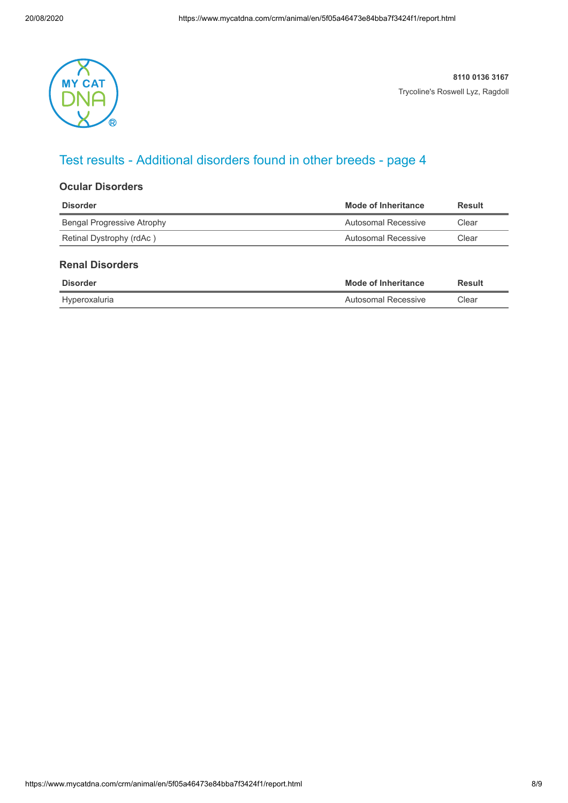

# Test results - Additional disorders found in other breeds - page 4

### **Ocular Disorders**

| <b>Disorder</b>            | Mode of Inheritance | <b>Result</b> |
|----------------------------|---------------------|---------------|
| Bengal Progressive Atrophy | Autosomal Recessive | Clear         |
| Retinal Dystrophy (rdAc)   | Autosomal Recessive | Clear         |

#### **Renal Disorders**

| <b>Disorder</b> | Mode of Inheritance | <b>Result</b> |
|-----------------|---------------------|---------------|
| Hyperoxaluria   | Autosomal Recessive | Clear         |